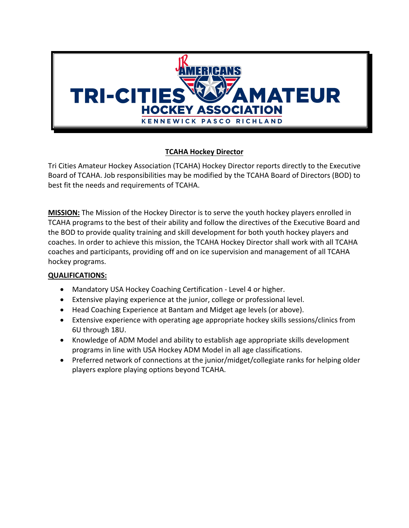

# **TCAHA Hockey Director**

Tri Cities Amateur Hockey Association (TCAHA) Hockey Director reports directly to the Executive Board of TCAHA. Job responsibilities may be modified by the TCAHA Board of Directors (BOD) to best fit the needs and requirements of TCAHA.

**MISSION:** The Mission of the Hockey Director is to serve the youth hockey players enrolled in TCAHA programs to the best of their ability and follow the directives of the Executive Board and the BOD to provide quality training and skill development for both youth hockey players and coaches. In order to achieve this mission, the TCAHA Hockey Director shall work with all TCAHA coaches and participants, providing off and on ice supervision and management of all TCAHA hockey programs.

# **QUALIFICATIONS:**

- Mandatory USA Hockey Coaching Certification Level 4 or higher.
- Extensive playing experience at the junior, college or professional level.
- Head Coaching Experience at Bantam and Midget age levels (or above).
- Extensive experience with operating age appropriate hockey skills sessions/clinics from 6U through 18U.
- Knowledge of ADM Model and ability to establish age appropriate skills development programs in line with USA Hockey ADM Model in all age classifications.
- Preferred network of connections at the junior/midget/collegiate ranks for helping older players explore playing options beyond TCAHA.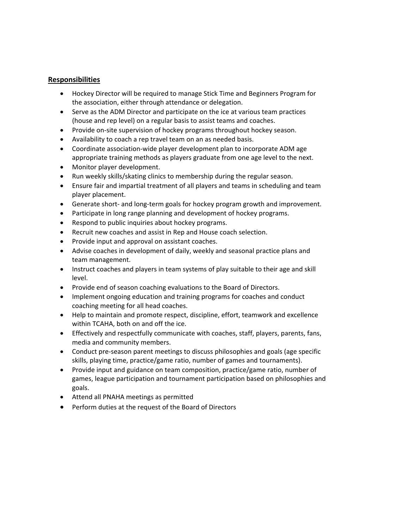#### **Responsibilities**

- Hockey Director will be required to manage Stick Time and Beginners Program for the association, either through attendance or delegation.
- Serve as the ADM Director and participate on the ice at various team practices (house and rep level) on a regular basis to assist teams and coaches.
- Provide on-site supervision of hockey programs throughout hockey season.
- Availability to coach a rep travel team on an as needed basis.
- Coordinate association-wide player development plan to incorporate ADM age appropriate training methods as players graduate from one age level to the next.
- Monitor player development.
- Run weekly skills/skating clinics to membership during the regular season.
- Ensure fair and impartial treatment of all players and teams in scheduling and team player placement.
- Generate short- and long-term goals for hockey program growth and improvement.
- Participate in long range planning and development of hockey programs.
- Respond to public inquiries about hockey programs.
- Recruit new coaches and assist in Rep and House coach selection.
- Provide input and approval on assistant coaches.
- Advise coaches in development of daily, weekly and seasonal practice plans and team management.
- Instruct coaches and players in team systems of play suitable to their age and skill level.
- Provide end of season coaching evaluations to the Board of Directors.
- Implement ongoing education and training programs for coaches and conduct coaching meeting for all head coaches.
- Help to maintain and promote respect, discipline, effort, teamwork and excellence within TCAHA, both on and off the ice.
- Effectively and respectfully communicate with coaches, staff, players, parents, fans, media and community members.
- Conduct pre-season parent meetings to discuss philosophies and goals (age specific skills, playing time, practice/game ratio, number of games and tournaments).
- Provide input and guidance on team composition, practice/game ratio, number of games, league participation and tournament participation based on philosophies and goals.
- Attend all PNAHA meetings as permitted
- Perform duties at the request of the Board of Directors